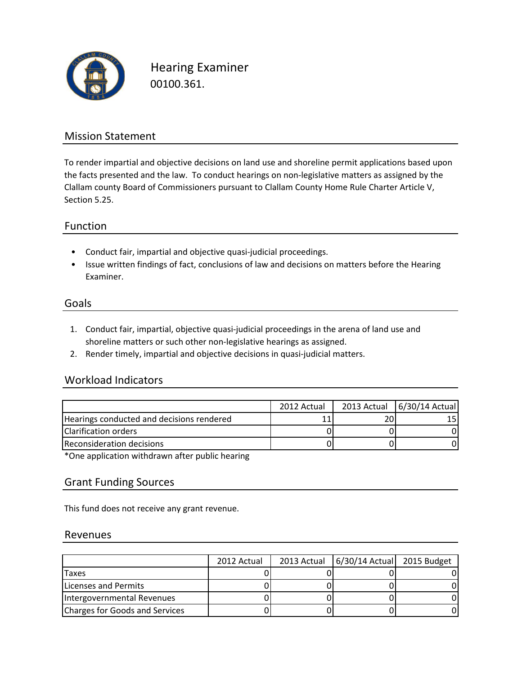

Hearing Examiner 00100.361.

## Mission Statement

To render impartial and objective decisions on land use and shoreline permit applications based upon the facts presented and the law. To conduct hearings on non-legislative matters as assigned by the Clallam county Board of Commissioners pursuant to Clallam County Home Rule Charter Article V, Section 5.25.

## Function

- Conduct fair, impartial and objective quasi-judicial proceedings.
- Issue written findings of fact, conclusions of law and decisions on matters before the Hearing Examiner.

#### Goals

- 1. Conduct fair, impartial, objective quasi-judicial proceedings in the arena of land use and shoreline matters or such other non-legislative hearings as assigned.
- 2. Render timely, impartial and objective decisions in quasi-judicial matters.

## Workload Indicators

|                                           | 2012 Actual | 2013 Actual 6/30/14 Actual |
|-------------------------------------------|-------------|----------------------------|
| Hearings conducted and decisions rendered |             |                            |
| <b>Clarification orders</b>               |             |                            |
| <b>Reconsideration decisions</b>          |             |                            |

\*One application withdrawn after public hearing

#### Grant Funding Sources

This fund does not receive any grant revenue.

#### Revenues

|                                | 2012 Actual | 2013 Actual   6/30/14 Actual 2015 Budget |  |
|--------------------------------|-------------|------------------------------------------|--|
| <b>Taxes</b>                   |             |                                          |  |
| Licenses and Permits           |             |                                          |  |
| Intergovernmental Revenues     |             |                                          |  |
| Charges for Goods and Services |             |                                          |  |